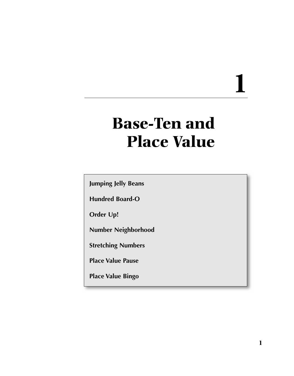# **1**

## **Base-Ten and Place Value**

**Jumping Jelly Beans**

**Hundred Board-O**

**Order Up!**

**Number Neighborhood**

**Stretching Numbers**

**Place Value Pause**

**Place Value Bingo**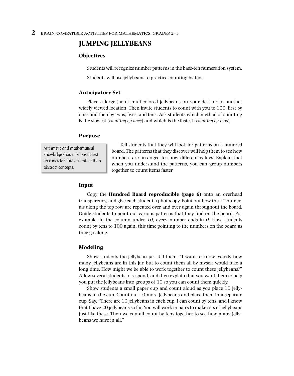#### **JUMPING JELLYBEANS**

#### **Objectives**

Students will recognize number patterns in the base-ten numeration system.

Students will use jellybeans to practice counting by tens.

#### **Anticipatory Set**

Place a large jar of multicolored jellybeans on your desk or in another widely viewed location. Then invite students to count with you to 100, first by ones and then by twos, fives, and tens. Ask students which method of counting is the slowest (*counting by ones*) and which is the fastest (*counting by tens*).

#### **Purpose**

Arithmetic and mathematical knowledge should be based first on concrete situations rather than abstract concepts.

Tell students that they will look for patterns on a hundred board. The patterns that they discover will help them to see how numbers are arranged to show different values. Explain that when you understand the patterns, you can group numbers together to count items faster.

#### **Input**

Copy the **Hundred Board reproducible (page 6)** onto an overhead transparency, and give each student a photocopy. Point out how the 10 numerals along the top row are repeated over and over again throughout the board. Guide students to point out various patterns that they find on the board. For example, in the column under *10,* every number ends in *0.* Have students count by tens to 100 again, this time pointing to the numbers on the board as they go along.

#### **Modeling**

Show students the jellybean jar. Tell them, "I want to know exactly how many jellybeans are in this jar, but to count them all by myself would take a long time. How might we be able to work together to count these jellybeans?" Allow several students to respond, and then explain that you want them to help you put the jellybeans into groups of 10 so you can count them quickly.

Show students a small paper cup and count aloud as you place 10 jellybeans in the cup. Count out 10 more jellybeans and place them in a separate cup. Say, "There are 10 jellybeans in each cup. I can count by tens, and I know that I have 20 jellybeans so far.You will work in pairs to make sets of jellybeans just like these. Then we can all count by tens together to see how many jellybeans we have in all."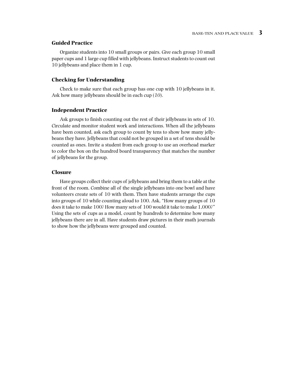#### **Guided Practice**

Organize students into 10 small groups or pairs. Give each group 10 small paper cups and 1 large cup filled with jellybeans. Instruct students to count out 10 jellybeans and place them in 1 cup.

#### **Checking for Understanding**

Check to make sure that each group has one cup with 10 jellybeans in it. Ask how many jellybeans should be in each cup (*10*).

#### **Independent Practice**

Ask groups to finish counting out the rest of their jellybeans in sets of 10. Circulate and monitor student work and interactions. When all the jellybeans have been counted, ask each group to count by tens to show how many jellybeans they have. Jellybeans that could not be grouped in a set of tens should be counted as ones. Invite a student from each group to use an overhead marker to color the box on the hundred board transparency that matches the number of jellybeans for the group.

#### **Closure**

Have groups collect their cups of jellybeans and bring them to a table at the front of the room. Combine all of the single jellybeans into one bowl and have volunteers create sets of 10 with them. Then have students arrange the cups into groups of 10 while counting aloud to 100. Ask, "How many groups of 10 does it take to make 100? How many sets of 100 would it take to make 1,000?" Using the sets of cups as a model, count by hundreds to determine how many jellybeans there are in all. Have students draw pictures in their math journals to show how the jellybeans were grouped and counted.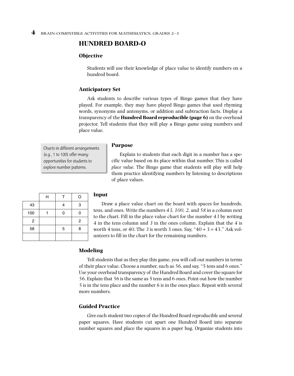#### **HUNDRED BOARD-O**

#### **Objective**

Students will use their knowledge of place value to identify numbers on a hundred board.

#### **Anticipatory Set**

Ask students to describe various types of Bingo games that they have played. For example, they may have played Bingo games that used rhyming words, synonyms and antonyms, or addition and subtraction facts. Display a transparency of the **Hundred Board reproducible (page 6)** on the overhead projector. Tell students that they will play a Bingo game using numbers and place value.

Charts in different arrangements (e.g., 1 to 100) offer many opportunities for students to explore number patterns.

#### **Purpose**

Explain to students that each digit in a number has a specific value based on its place within that number. This is called *place value.* The Bingo game that students will play will help them practice identifying numbers by listening to descriptions of place values.

|              | Н |   | Ω              |
|--------------|---|---|----------------|
| 43           |   |   | 3              |
| 100          |   | 0 | 0              |
| $\mathbf{2}$ |   |   | $\overline{c}$ |
| 58           |   | 5 | 8              |
|              |   |   |                |

#### **Input**

Draw a place value chart on the board with spaces for hundreds, tens, and ones. Write the numbers *43, 100, 2,* and *58* in a column next to the chart. Fill in the place value chart for the number *43* by writing *4* in the tens column and *3* in the ones column. Explain that the *4* is worth 4 tens, or 40. The 3 is worth 3 ones. Say, " $40 + 3 = 43$ ." Ask volunteers to fill in the chart for the remaining numbers.

#### **Modeling**

Tell students that as they play this game, you will call out numbers in terms of their place value. Choose a number, such as 56, and say, "5 tens and 6 ones." Use your overhead transparency of the Hundred Board and cover the square for *56.* Explain that *56* is the same as 5 tens and 6 ones. Point out how the number *5* is in the tens place and the number *6* is in the ones place. Repeat with several more numbers.

#### **Guided Practice**

Give each student two copies of the Hundred Board reproducible and several paper squares. Have students cut apart one Hundred Board into separate number squares and place the squares in a paper bag. Organize students into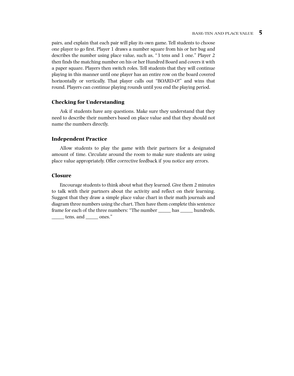pairs, and explain that each pair will play its own game. Tell students to choose one player to go first. Player 1 draws a number square from his or her bag and describes the number using place value, such as, "3 tens and 1 one." Player 2 then finds the matching number on his or her Hundred Board and covers it with a paper square. Players then switch roles. Tell students that they will continue playing in this manner until one player has an entire row on the board covered horizontally or vertically. That player calls out "BOARD-O!" and wins that round. Players can continue playing rounds until you end the playing period.

#### **Checking for Understanding**

Ask if students have any questions. Make sure they understand that they need to describe their numbers based on place value and that they should not name the numbers directly.

#### **Independent Practice**

Allow students to play the game with their partners for a designated amount of time. Circulate around the room to make sure students are using place value appropriately. Offer corrective feedback if you notice any errors.

#### **Closure**

Encourage students to think about what they learned. Give them 2 minutes to talk with their partners about the activity and reflect on their learning. Suggest that they draw a simple place value chart in their math journals and diagram three numbers using the chart. Then have them complete thissentence frame for each of the three numbers: "The number \_\_\_\_\_ has \_\_\_\_\_ hundreds, \_\_\_\_\_ tens, and \_\_\_\_\_ ones."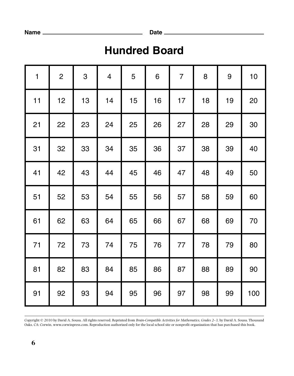**Name Date Date Date Date Date Date Date Date Date Date Date Date Date Date Date Date Date Date Date D** 

### **Hundred Board**

| $\mathbf 1$ | $\overline{2}$ | 3  | $\overline{4}$ | 5  | 6  | $\overline{7}$ | 8  | 9  | 10  |
|-------------|----------------|----|----------------|----|----|----------------|----|----|-----|
| 11          | 12             | 13 | 14             | 15 | 16 | 17             | 18 | 19 | 20  |
| 21          | 22             | 23 | 24             | 25 | 26 | 27             | 28 | 29 | 30  |
| 31          | 32             | 33 | 34             | 35 | 36 | 37             | 38 | 39 | 40  |
| 41          | 42             | 43 | 44             | 45 | 46 | 47             | 48 | 49 | 50  |
| 51          | 52             | 53 | 54             | 55 | 56 | 57             | 58 | 59 | 60  |
| 61          | 62             | 63 | 64             | 65 | 66 | 67             | 68 | 69 | 70  |
| 71          | 72             | 73 | 74             | 75 | 76 | 77             | 78 | 79 | 80  |
| 81          | 82             | 83 | 84             | 85 | 86 | 87             | 88 | 89 | 90  |
| 91          | 92             | 93 | 94             | 95 | 96 | 97             | 98 | 99 | 100 |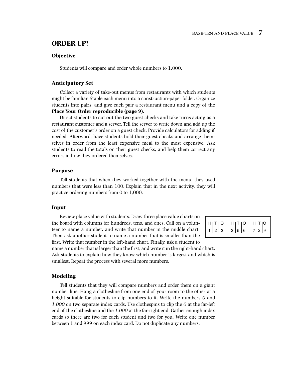#### **ORDER UP!**

#### **Objective**

Students will compare and order whole numbers to 1,000.

#### **Anticipatory Set**

Collect a variety of take-out menus from restaurants with which students might be familiar. Staple each menu into a construction-paper folder. Organize students into pairs, and give each pair a restaurant menu and a copy of the **Place Your Order reproducible (page 9).**

Direct students to cut out the two guest checks and take turns acting as a restaurant customer and a server. Tell the server to write down and add up the cost of the customer's order on a guest check. Provide calculators for adding if needed. Afterward, have students hold their guest checks and arrange themselves in order from the least expensive meal to the most expensive. Ask students to read the totals on their guest checks, and help them correct any errors in how they ordered themselves.

#### **Purpose**

Tell students that when they worked together with the menu, they used numbers that were less than 100. Explain that in the next activity, they will practice ordering numbers from 0 to 1,000.

#### **Input**

Review place value with students. Draw three place value charts on the board with columns for hundreds, tens, and ones. Call on a volunteer to name a number, and write that number in the middle chart. Then ask another student to name a number that is smaller than the first. Write that number in the left-hand chart. Finally, ask a student to name a number that is larger than the first, and write it in the right-hand chart. Ask students to explain how they know which number is largest and which is smallest. Repeat the process with several more numbers.

#### A TIP OITIN  $1 | 2 | 2 3 | 5 | 6 7 | 2 | 9$

#### **Modeling**

Tell students that they will compare numbers and order them on a giant number line. Hang a clothesline from one end of your room to the other at a height suitable for students to clip numbers to it. Write the numbers *0* and *1,000* on two separate index cards. Use clothespins to clip the *0* at the far-left end of the clothesline and the *1,000* at the far-right end. Gather enough index cards so there are two for each student and two for you. Write one number between 1 and 999 on each index card. Do not duplicate any numbers.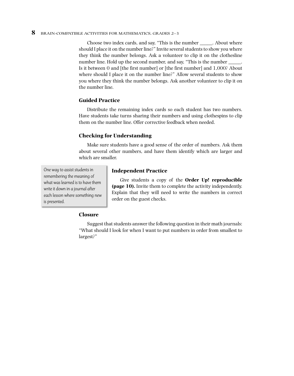#### **8** BRAIN-COMPATIBLE ACTIVITIES FOR MATHEMATICS, GRADES 2–3

Choose two index cards, and say, "This is the number \_\_\_\_\_. About where should I place it on the number line?" Invite several students to show you where they think the number belongs. Ask a volunteer to clip it on the clothesline number line. Hold up the second number, and say, "This is the number \_\_\_\_\_\_. Is it between 0 and [the first number] or [the first number] and 1,000? About where should I place it on the number line?" Allow several students to show you where they think the number belongs. Ask another volunteer to clip it on the number line.

#### **Guided Practice**

Distribute the remaining index cards so each student has two numbers. Have students take turns sharing their numbers and using clothespins to clip them on the number line. Offer corrective feedback when needed.

#### **Checking for Understanding**

Make sure students have a good sense of the order of numbers. Ask them about several other numbers, and have them identify which are larger and which are smaller.

One way to assist students in remembering the meaning of what was learned is to have them write it down in a journal after each lesson where something new is presented.

#### **Independent Practice**

Give students a copy of the **Order Up! reproducible (page 10).** Invite them to complete the activity independently. Explain that they will need to write the numbers in correct order on the guest checks.

#### **Closure**

Suggest that students answer the following question in their math journals: "What should I look for when I want to put numbers in order from smallest to largest?"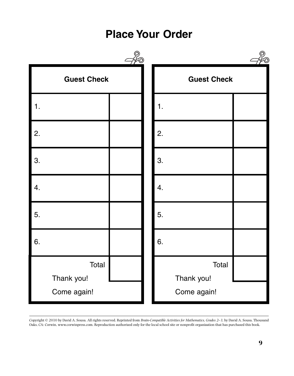### **Place Your Order**

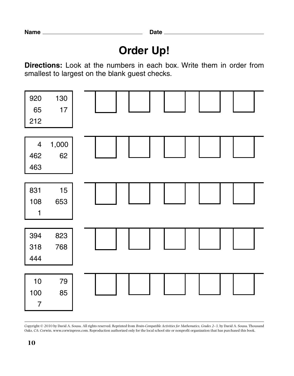### **Order Up!**

**Directions:** Look at the numbers in each box. Write them in order from smallest to largest on the blank guest checks.



Copyright © 2010 by David A. Sousa. All rights reserved. Reprinted from *Brain-Compatible Activities for Mathematics, Grades 2–3,* by David A. Sousa. Thousand Oaks, CA: Corwin, www.corwinpress.com. Reproduction authorized only for the local school site or nonprofit organization that has purchased this book.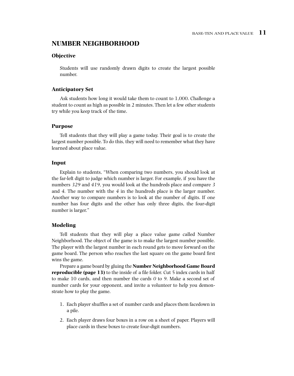#### **NUMBER NEIGHBORHOOD**

#### **Objective**

Students will use randomly drawn digits to create the largest possible number.

#### **Anticipatory Set**

Ask students how long it would take them to count to 1,000. Challenge a student to count as high as possible in 2 minutes. Then let a few other students try while you keep track of the time.

#### **Purpose**

Tell students that they will play a game today. Their goal is to create the largest number possible. To do this, they will need to remember what they have learned about place value.

#### **Input**

Explain to students, "When comparing two numbers, you should look at the far-left digit to judge which number is larger. For example, if you have the numbers *329* and *419,* you would look at the hundreds place and compare *3* and *4.* The number with the *4* in the hundreds place is the larger number. Another way to compare numbers is to look at the number of digits. If one number has four digits and the other has only three digits, the four-digit number is larger."

#### **Modeling**

Tell students that they will play a place value game called Number Neighborhood. The object of the game is to make the largest number possible. The player with the largest number in each round gets to move forward on the game board. The person who reaches the last square on the game board first wins the game.

Prepare a game board by gluing the **Number Neighborhood Game Board reproducible (page 13)** to the inside of a file folder. Cut 5 index cards in half to make 10 cards, and then number the cards *0* to *9.* Make a second set of number cards for your opponent, and invite a volunteer to help you demonstrate how to play the game.

- 1. Each player shuffles a set of number cards and places them facedown in a pile.
- 2. Each player draws four boxes in a row on a sheet of paper. Players will place cards in these boxes to create four-digit numbers.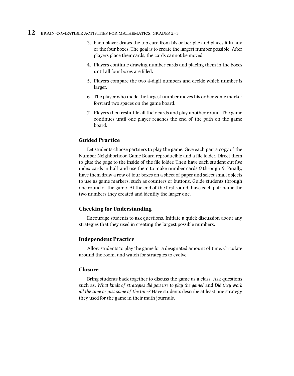#### **12** BRAIN-COMPATIBLE ACTIVITIES FOR MATHEMATICS, GRADES 2–3

- 3. Each player draws the top card from his or her pile and places it in any of the four boxes. The goal is to create the largest number possible. After players place their cards, the cards cannot be moved.
- 4. Players continue drawing number cards and placing them in the boxes until all four boxes are filled.
- 5. Players compare the two 4-digit numbers and decide which number is larger.
- 6. The player who made the largest number moves his or her game marker forward two spaces on the game board.
- 7. Players then reshuffle all their cards and play another round. The game continues until one player reaches the end of the path on the game board.

#### **Guided Practice**

Let students choose partners to play the game. Give each pair a copy of the Number Neighborhood Game Board reproducible and a file folder. Direct them to glue the page to the inside of the file folder. Then have each student cut five index cards in half and use them to make number cards *0* through *9.* Finally, have them draw a row of four boxes on a sheet of paper and select small objects to use as game markers, such as counters or buttons. Guide students through one round of the game. At the end of the first round, have each pair name the two numbers they created and identify the larger one.

#### **Checking for Understanding**

Encourage students to ask questions. Initiate a quick discussion about any strategies that they used in creating the largest possible numbers.

#### **Independent Practice**

Allow students to play the game for a designated amount of time. Circulate around the room, and watch for strategies to evolve.

#### **Closure**

Bring students back together to discuss the game as a class. Ask questions such as, *What kinds of strategies did you use to play the game?* and *Did they work all the time or just some of the time?* Have students describe at least one strategy they used for the game in their math journals.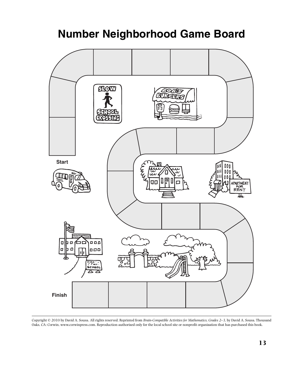### **Number Neighborhood Game Board**

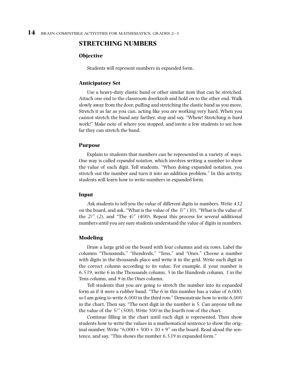#### **STRETCHING NUMBERS**

#### **Objective**

Students will represent numbers in expanded form.

#### **Anticipatory Set**

Use a heavy-duty elastic band or other similar item that can be stretched. Attach one end to the classroom doorknob and hold on to the other end. Walk slowly away from the door, pulling and stretching the elastic band as you move. Stretch it as far as you can, acting like you are working very hard. When you cannot stretch the band any farther, stop and say, "Whew! Stretching is hard work!" Make note of where you stopped, and invite a few students to see how far they can stretch the band.

#### **Purpose**

Explain to students that numbers can be represented in a variety of ways. One way is called *expanded notation,* which involves writing a number to show the value of each digit. Tell students, "When doing expanded notation, you stretch out the number and turn it into an addition problem." In this activity, students will learn how to write numbers in expanded form.

#### **Input**

Ask students to tell you the value of different digits in numbers. Write *432* on the board, and ask, "What is the value of the *3*?" (*30*), "What is the value of the *2*?" (*2*), and "The *4*?" (*400*). Repeat this process for several additional numbers until you are sure students understand the value of digitsin numbers.

#### **Modeling**

Draw a large grid on the board with four columns and six rows. Label the columns "Thousands," "Hundreds," "Tens," and "Ones." Choose a number with digits in the thousands place and write it in the grid. Write each digit in the correct column according to its value. For example, if your number is *6,539,* write *6* in the Thousands column, *5* in the Hundreds column, *3* in the Tens column, and *9* in the Ones column.

Tell students that you are going to stretch the number into its expanded form as if it were a rubber band: "The *6* in this number has a value of 6,000, so I am going to write *6,000* in the third row." Demonstrate how to write *6,000* in the chart. Then say, "The next digit in the number is *5.* Can anyone tell me the value of the *5*?" (*500*). Write *500* in the fourth row of the chart.

Continue filling in the chart until each digit is represented. Then show students how to write the values in a mathematical sentence to show the original number. Write " $6,000 + 500 + 30 + 9$ " on the board. Read aloud the sentence, and say, "This shows the number *6,539* in expanded form."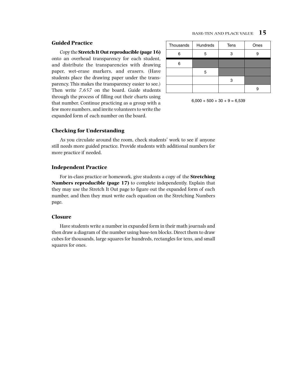#### **Guided Practice**

Copy the **Stretch It Out reproducible (page 16)** onto an overhead transparency for each student, and distribute the transparencies with drawing paper, wet-erase markers, and erasers. (Have students place the drawing paper under the transparency. This makes the transparency easier to see.) Then write *7,657* on the board. Guide students through the process of filling out their charts using that number. Continue practicing as a group with a few more numbers, and invite volunteers to write the expanded form of each number on the board.

| Thousands | Hundreds | Tens | Ones |
|-----------|----------|------|------|
| 6         | 5        | з    |      |
| 6         |          |      |      |
|           | 5        |      |      |
|           |          | 3    |      |
|           |          |      |      |

 $6,000 + 500 + 30 + 9 = 6,539$ 

#### **Checking for Understanding**

As you circulate around the room, check students' work to see if anyone still needs more guided practice. Provide students with additional numbers for more practice if needed.

#### **Independent Practice**

For in-class practice or homework, give students a copy of the **Stretching Numbers reproducible (page 17)** to complete independently. Explain that they may use the Stretch It Out page to figure out the expanded form of each number, and then they must write each equation on the Stretching Numbers page.

#### **Closure**

Have students write a number in expanded form in their math journals and then draw a diagram of the number using base-ten blocks. Direct them to draw cubes for thousands, large squares for hundreds, rectangles for tens, and small squares for ones.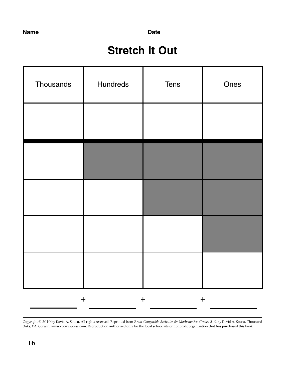### **Stretch It Out**

| Thousands | <b>Hundreds</b> | <b>Tens</b>      | Ones |
|-----------|-----------------|------------------|------|
|           |                 |                  |      |
|           |                 |                  |      |
|           |                 |                  |      |
|           |                 |                  |      |
|           |                 |                  |      |
|           | $+$             | $\boldsymbol{+}$ | $+$  |

Copyright © 2010 by David A. Sousa. All rights reserved. Reprinted from *Brain-Compatible Activities for Mathematics, Grades 2–3,* by David A. Sousa. Thousand Oaks, CA: Corwin, www.corwinpress.com. Reproduction authorized only for the local school site or nonprofit organization that has purchased this book.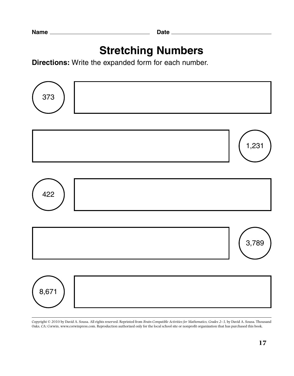### **Stretching Numbers**

**Directions:** Write the expanded form for each number.



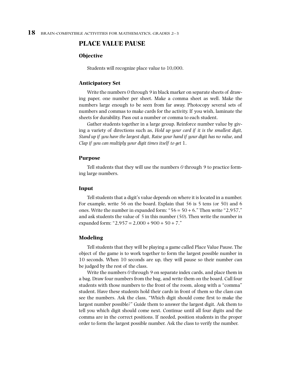#### **PLACE VALUE PAUSE**

#### **Objective**

Students will recognize place value to 10,000.

#### **Anticipatory Set**

Write the numbers *0* through *9* in black marker on separate sheets of drawing paper, one number per sheet. Make a comma sheet as well. Make the numbers large enough to be seen from far away. Photocopy several sets of numbers and commas to make cards for the activity. If you wish, laminate the sheets for durability. Pass out a number or comma to each student.

Gather students together in a large group. Reinforce number value by giving a variety of directions such as, *Hold up your card if it is the smallest digit, Stand up if you have the largest digit, Raise your hand if your digit has no value,* and *Clap if you can multiply your digit times itself to get* 1.

#### **Purpose**

Tell students that they will use the numbers *0* through *9* to practice forming large numbers.

#### **Input**

Tell students that a digit's value depends on where it is located in a number. For example, write *56* on the board. Explain that *56* is 5 tens (or 50) and 6 ones. Write the number in expanded form: " $56 = 50 + 6$ ." Then write "2,957," and ask students the value of *5* in this number (*50*). Then write the number in expanded form: " $2,957 = 2,000 + 900 + 50 + 7$ ."

#### **Modeling**

Tell students that they will be playing a game called Place Value Pause. The object of the game is to work together to form the largest possible number in 10 seconds. When 10 seconds are up, they will pause so their number can be judged by the rest of the class.

Write the numbers *0* through *9* on separate index cards, and place them in a bag. Draw four numbers from the bag, and write them on the board. Call four students with those numbers to the front of the room, along with a "comma" student. Have these students hold their cards in front of them so the class can see the numbers. Ask the class, "Which digit should come first to make the largest number possible?" Guide them to answer the largest digit. Ask them to tell you which digit should come next. Continue until all four digits and the comma are in the correct positions. If needed, position students in the proper order to form the largest possible number. Ask the class to verify the number.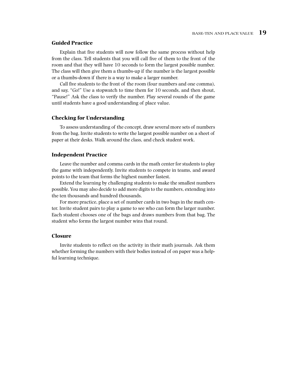#### **Guided Practice**

Explain that five students will now follow the same process without help from the class. Tell students that you will call five of them to the front of the room and that they will have 10 seconds to form the largest possible number. The class will then give them a thumbs-up if the number is the largest possible or a thumbs-down if there is a way to make a larger number.

Call five students to the front of the room (four numbers and one comma), and say, "Go!" Use a stopwatch to time them for 10 seconds, and then shout, "Pause!" Ask the class to verify the number. Play several rounds of the game until students have a good understanding of place value.

#### **Checking for Understanding**

To assess understanding of the concept, draw several more sets of numbers from the bag. Invite students to write the largest possible number on a sheet of paper at their desks. Walk around the class, and check student work.

#### **Independent Practice**

Leave the number and comma cards in the math center for students to play the game with independently. Invite students to compete in teams, and award points to the team that forms the highest number fastest.

Extend the learning by challenging students to make the smallest numbers possible.You may also decide to add more digits to the numbers, extending into the ten thousands and hundred thousands.

For more practice, place a set of number cards in two bags in the math center. Invite student pairs to play a game to see who can form the larger number. Each student chooses one of the bags and draws numbers from that bag. The student who forms the largest number wins that round.

#### **Closure**

Invite students to reflect on the activity in their math journals. Ask them whether forming the numbers with their bodies instead of on paper was a helpful learning technique.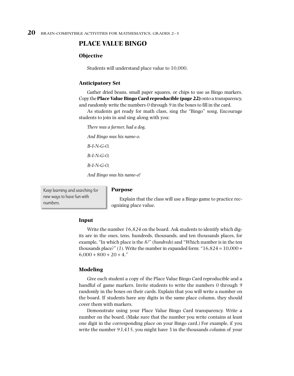#### **PLACE VALUE BINGO**

#### **Objective**

Students will understand place value to 10,000.

#### **Anticipatory Set**

Gather dried beans, small paper squares, or chips to use as Bingo markers. Copy the**PlaceValueBingoCard reproducible (page22)** onto a transparency, and randomly write the numbers *0* through *9* in the boxes to fill in the card.

As students get ready for math class, sing the "Bingo" song. Encourage students to join in and sing along with you:

*There was a farmer, had a dog,*

*And Bingo was his name-o.*

*B-I-N-G-O,*

*B-I-N-G-O,*

*B-I-N-G-O,*

*And Bingo was his name-o!*

Keep learning and searching for new ways to have fun with numbers.

#### **Purpose**

Explain that the class will use a Bingo game to practice recognizing place value.

#### **Input**

Write the number *16,824* on the board. Ask students to identify which digits are in the ones, tens, hundreds, thousands, and ten thousands places, for example, "In which place is the *8?*" (*hundreds*) and "Which number is in the ten thousands place?" (1). Write the number in expanded form: " $16,824 = 10,000 +$  $6,000 + 800 + 20 + 4."$ 

#### **Modeling**

Give each student a copy of the Place Value Bingo Card reproducible and a handful of game markers. Invite students to write the numbers *0* through *9* randomly in the boxes on their cards. Explain that you will write a number on the board. If students have any digits in the same place column, they should cover them with markers.

Demonstrate using your Place Value Bingo Card transparency. Write a number on the board. (Make sure that the number you write contains at least one digit in the corresponding place on your Bingo card.) For example, if you write the number *93,415,* you might have 3 in the thousands column of your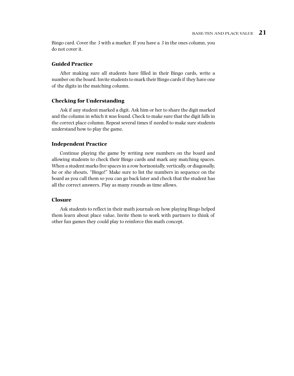Bingo card. Cover the *3* with a marker. If you have a *3* in the ones column, you do not cover it.

#### **Guided Practice**

After making sure all students have filled in their Bingo cards, write a number on the board. Invite students to mark their Bingo cards if they have one of the digits in the matching column.

#### **Checking for Understanding**

Ask if any student marked a digit. Ask him or her to share the digit marked and the column in which it was found. Check to make sure that the digit falls in the correct place column. Repeat several times if needed to make sure students understand how to play the game.

#### **Independent Practice**

Continue playing the game by writing new numbers on the board and allowing students to check their Bingo cards and mark any matching spaces. When a student marks five spaces in a row horizontally, vertically, or diagonally, he or she shouts, "Bingo!" Make sure to list the numbers in sequence on the board as you call them so you can go back later and check that the student has all the correct answers. Play as many rounds as time allows.

#### **Closure**

Ask students to reflect in their math journals on how playing Bingo helped them learn about place value. Invite them to work with partners to think of other fun games they could play to reinforce this math concept.